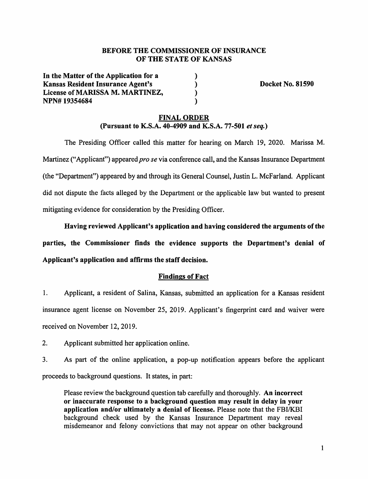## **BEFORE THE COMMISSIONER OF INSURANCE OF THE STATE OF KANSAS**

) ) ) )

**In the Matter of the Application for a Kansas Resident Insurance Agent's License of MARISSA M. MARTINEZ, NPN# 19354684** 

**Docket No. 81590** 

## **FINAL ORDER (Pursuant to K.S.A. 40-4909 and K.S.A. 77-501** *et seq.)*

The Presiding Officer called this matter for hearing on March 19, 2020. Marissa M. Martinez ("Applicant") appeared *pro se* via conference call, and the Kansas Insurance Department (the "Department") appeared by and through its General Counsel, Justin L. McFarland. Applicant did not dispute the facts alleged by the Department or the applicable law but wanted to present mitigating evidence for consideration by the Presiding Officer.

**Having reviewed Applicant's application and having considered the arguments of the parties, the Commissioner finds the evidence supports the Department's denial of Applicant's application and affirms the staff decision.** 

## **Findings of Fact**

1. Applicant, a resident of Salina, Kansas, submitted an application for a Kansas resident insurance agent license on November 25, 2019. Applicant's fingerprint card and waiver were received on November 12, 2019.

2. Applicant submitted her application online.

3. As part of the online application, a pop-up notification appears before the applicant proceeds to background questions. It states, in part:

Please review the background question tab carefully and thoroughly. **An incorrect or inaccurate response to a background question may result in delay in your application and/or ultimately a denial of license.** Please note that the FBI/KBI background check used by the Kansas Insurance Department may reveal misdemeanor and felony convictions that may not appear on other background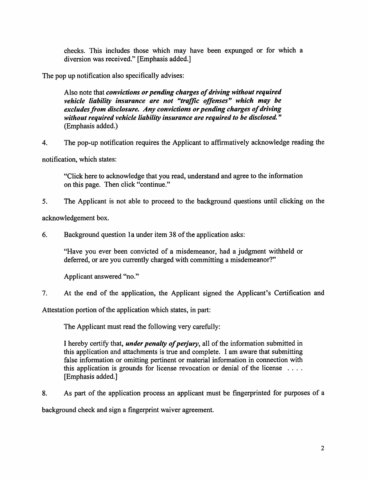checks. This includes those which may have been expunged or for which a diversion was received." [Emphasis added.]

The pop up notification also specifically advises:

Also note that *convictions or pending charges of driving without required vehicle liability insurance are not "traffic offenses" which may be excludes from disclosure. Any convictions or pending charges of driving without required vehicle liability insurance are required to be disclosed."*  (Emphasis added.)

4. The pop-up notification requires the Applicant to affirmatively acknowledge reading the

notification, which states:

"Click here to acknowledge that you read, understand and agree to the information on this page. Then click "continue."

5. The Applicant is not able to proceed to the background questions until clicking on the

acknowledgement box.

6. Background question la under item 38 of the application asks:

"Have you ever been convicted of a misdemeanor, had a judgment withheld or deferred, or are you currently charged with committing a misdemeanor?"

Applicant answered "no."

7. At the end of the application, the Applicant signed the Applicant's Certification and

Attestation portion of the application which states, in part:

The Applicant must read the following very carefully:

I hereby certify that, *under penalty of perjury,* all of the information submitted in this application and attachments is true and complete. I am aware that submitting false information or omitting pertinent or material information in connection with this application is grounds for license revocation or denial of the license  $\dots$ [Emphasis added.]

8. As part of the application process an applicant must be fingerprinted for purposes of a

background check and sign a fingerprint waiver agreement.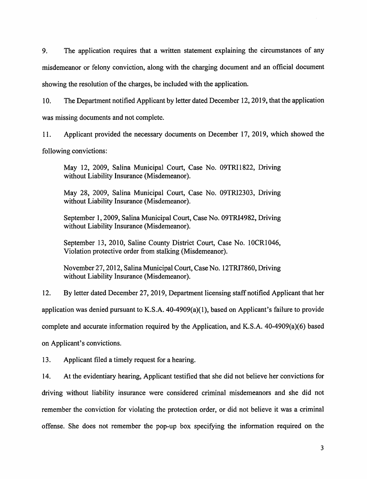9. The application requires that a written statement explaining the circumstances of any misdemeanor or felony conviction, along with the charging document and an official document showing the resolution of the charges, be included with the application.

10. The Department notified Applicant by letter dated December 12, 2019, that the application was missing documents and not complete.

11. Applicant provided the necessary documents on December 17, 2019, which showed the following convictions:

May 12, 2009, Salina Municipal Court, Case No. 09TRI1822, Driving without Liability Insurance (Misdemeanor).

May 28, 2009, Salina Municipal Court, Case No. 09TRl2303, Driving without Liability Insurance (Misdemeanor).

September 1, 2009, Salina Municipal Court, Case No. 09TRI4982, Driving without Liability Insurance (Misdemeanor).

September 13, 2010, Saline County District Court, Case No. 10CR1046, Violation protective order from stalking (Misdemeanor).

November 27, 2012, Salina Municipal Court, Case No. 12TRI7860, Driving without Liability Insurance (Misdemeanor).

12. By letter dated December 27, 2019, Department licensing staff notified Applicant that her application was denied pursuant to K.S.A.  $40-4909(a)(1)$ , based on Applicant's failure to provide complete and accurate information required by the Application, and K.S.A. 40-4909(a)(6) based

on Applicant's convictions.

13. Applicant filed a timely request for a hearing.

14. At the evidentiary hearing, Applicant testified that she did not believe her convictions for driving without liability insurance were considered criminal misdemeanors and she did not remember the conviction for violating the protection order, or did not believe it was a criminal offense. She does not remember the pop-up box specifying the information required on the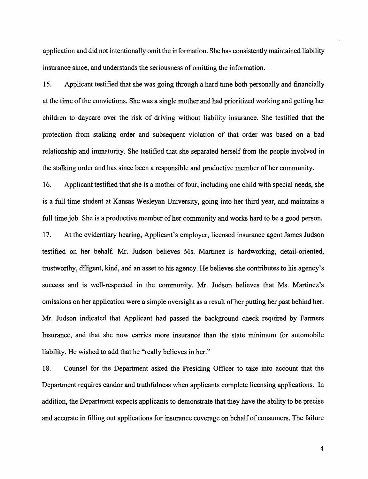application and did not intentionally omit the information. She has consistently maintained liability insurance since, and understands the seriousness of omitting the information.

15. Applicant testified that she was going through a hard time both personally and financially at the time of the convictions. She was a single mother and had prioritized working and getting her children to daycare over the risk of driving without liability insurance. She testified that the protection from stalking order and subsequent violation of that order was based on a bad relationship and immaturity. She testified that she separated herself from the people involved in the stalking order and has since been a responsible and productive member of her community.

16. Applicant testified that she is a mother of four, including one child with special needs, she is a full time student at Kansas Wesleyan University, going into her third year, and maintains a full time job. She is a productive member of her community and works hard to be a good person. 17. At the evidentiary hearing, Applicant's employer, licensed insurance agent James Judson testified on her behalf. Mr. Judson believes Ms. Martinez is hardworking, detail-oriented, trustworthy, diligent, kind, and an asset to his agency. He believes she contributes to his agency's success and is well-respected in the community. Mr. Judson believes that Ms. Martinez's omissions on her application were a simple oversight as a result of her putting her past behind her. Mr. Judson indicated that Applicant had passed the background check required by Farmers Insurance, and that she now carries more insurance than the state minimum for automobile liability. He wished to add that he "really believes in her."

18. Counsel for the Department asked the Presiding Officer to take into account that the Department requires candor and truthfulness when applicants complete licensing applications. In addition, the Department expects applicants to demonstrate that they have the ability to be precise and accurate in filling out applications for insurance coverage on behalf of consumers. The failure

4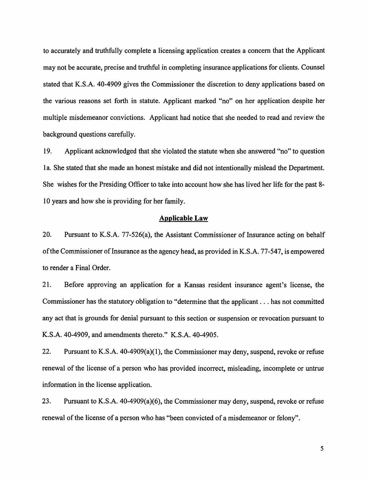to accurately and truthfully complete a licensing application creates a concern that the Applicant may not be accurate, precise and truthful in completing insurance applications for clients. Counsel stated that **K.S.A.** 40-4909 gives the Commissioner the discretion to deny applications based on the various reasons set forth in statute. Applicant marked "no" on her application despite her multiple misdemeanor convictions. Applicant had notice that she needed to read and review the background questions carefully.

19. Applicant acknowledged that she violated the statute when she answered "no" to question 1 a. She stated that she made an honest mistake and did not intentionally mislead the Department. She wishes for the Presiding Officer to take into account how she has lived her life for the past 8- 10 years and how she is providing for her family.

#### **Applicable Law**

20. Pursuant to K.S.A. 77-526(a), the Assistant Commissioner of Insurance acting on behalf of the Commissioner of Insurance as the agency head, as provided in K.S.A. 77-547, is empowered to render a Final Order.

21. Before approving an application for a Kansas resident insurance agent's license, the Commissioner has the statutory obligation to "determine that the applicant ... has not committed any act that is grounds for denial pursuant to this section or suspension or revocation pursuant to K.S.A. 40-4909, and amendments thereto." K.S.A. 40-4905.

22. Pursuant to K.S.A. 40-4909(a)(l), the Commissioner may deny, suspend, revoke or refuse renewal of the license of a person who has provided incorrect, misleading, incomplete or untrue information in the license application.

23. Pursuant to K.S.A. 40-4909(a)(6), the Commissioner may deny, suspend, revoke or refuse renewal of the license of a person who has "been convicted of a misdemeanor or felony".

5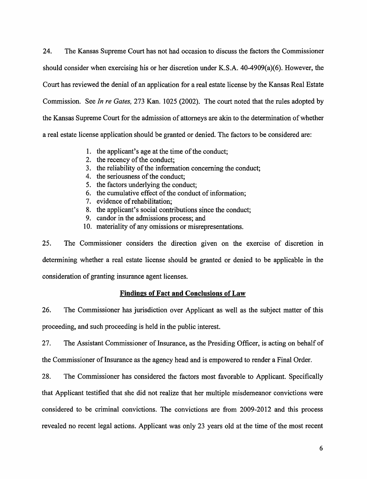24. The Kansas Supreme Court has not had occasion to discuss the factors the Commissioner should consider when exercising his or her discretion under K.S.A. 40-4909(a)(6). However, the Court has reviewed the denial of an application for a real estate license by the Kansas Real Estate Commission. See *In re Gates,* 273 Kan. 1025 (2002). The court noted that the rules adopted by the Kansas Supreme Court for the admission of attorneys are akin to the determination of whether a real estate license application should be granted or denied. The factors to be considered are:

- 1. the applicant's age at the time of the conduct;
- 2. the recency of the conduct;
- 3. the reliability of the information concerning the conduct;
- 4. the seriousness of the conduct;
- 5. the factors underlying the conduct;
- 6. the cumulative effect of the conduct of information;
- 7. evidence of rehabilitation;
- 8. the applicant's social contributions since the conduct;
- 9. candor in the admissions process; and
- 10. materiality of any omissions or misrepresentations.

25. The Commissioner considers the direction given on the exercise of discretion in determining whether a real estate license should be granted or denied to be applicable in the consideration of granting insurance agent licenses.

# **Findings of Fact and Conclusions of Law**

26. The Commissioner has jurisdiction over Applicant as well as the subject matter of this proceeding, and such proceeding is held in the public interest.

27. The Assistant Commissioner of Insurance, as the Presiding Officer, is acting on behalf of the Commissioner of Insurance as the agency head and is empowered to render a Final Order.

28. The Commissioner has considered the factors most favorable to Applicant. Specifically that Applicant testified that she did not realize that her multiple misdemeanor convictions were considered to be criminal convictions. The convictions are from 2009-2012 and this process revealed no recent legal actions. Applicant was only 23 years old at the time of the most recent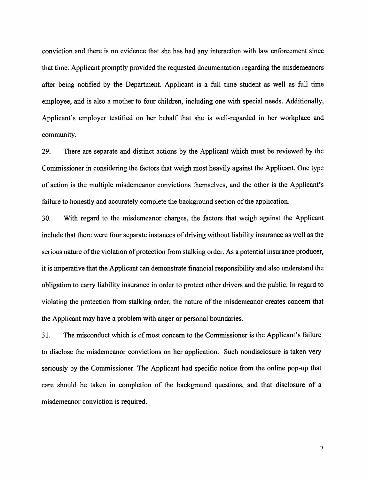conviction and there is no evidence that she has had any interaction with law enforcement since that time. Applicant promptly provided the requested documentation regarding the misdemeanors after being notified by the Department. Applicant is a full time student as well as full time employee, and is also a mother to four children, including one with special needs. Additionally, Applicant's employer testified on her behalf that she is well-regarded in her workplace and community.

29. There are separate and distinct actions by the Applicant which must be reviewed by the Commissioner in considering the factors that weigh most heavily against the Applicant. One type of action is the multiple misdemeanor convictions themselves, and the other is the Applicant's failure to honestly and accurately complete the background section of the application.

30. With regard to the misdemeanor charges, the factors that weigh against the Applicant include that there were four separate instances of driving without liability insurance as well as the serious nature of the violation of protection from stalking order. As a potential insurance producer, it is imperative that the Applicant can demonstrate financial responsibility and also understand the obligation to carry liability insurance in order to protect other drivers and the public. In regard to violating the protection from stalking order, the nature of the misdemeanor creates concern that the Applicant may have a problem with anger or personal boundaries.

31. The misconduct which is of most concern to the Commissioner is the Applicant's failure to disclose the misdemeanor convictions on her application. Such nondisclosure is taken very seriously by the Commissioner. The Applicant had specific notice from the online pop-up that care should be taken in completion of the background questions, and that disclosure of a misdemeanor conviction is required.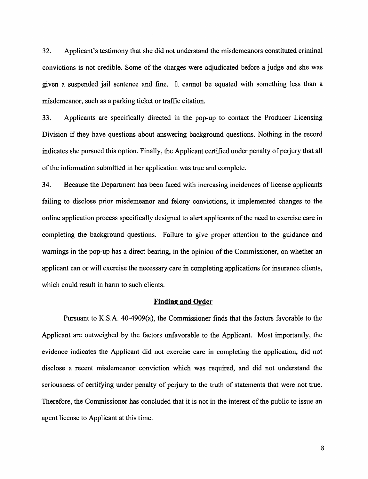32. Applicant's testimony that she did not understand the misdemeanors constituted criminal convictions is not credible. Some of the charges were adjudicated before a judge and she was given a suspended jail sentence and fine. It cannot be equated with something less than a misdemeanor, such as a parking ticket or traffic citation.

33. Applicants are specifically directed in the pop-up to contact the Producer Licensing Division if they have questions about answering background questions. Nothing in the record indicates she pursued this option. Finally, the Applicant certified under penalty of perjury that all of the information submitted in her application was true and complete.

34. Because the Department has been faced with increasing incidences of license applicants failing to disclose prior misdemeanor and felony convictions, it implemented changes to the online application process specifically designed to alert applicants of the need to exercise care in completing the background questions. Failure to give proper attention to the guidance and warnings in the pop-up has a direct bearing, in the opinion of the Commissioner, on whether an applicant can or will exercise the necessary care in completing applications for insurance clients, which could result in harm to such clients.

#### **Finding and Order**

Pursuant to K.S.A. 40-4909(a), the Commissioner finds that the factors favorable to the Applicant are outweighed by the factors unfavorable to the Applicant. Most importantly, the evidence indicates the Applicant did not exercise care in completing the application, did not disclose a recent misdemeanor conviction which was required, and did not understand the seriousness of certifying under penalty of perjury to the truth of statements that were not true. Therefore, the Commissioner has concluded that it is not in the interest of the public to issue an agent license to Applicant at this time.

8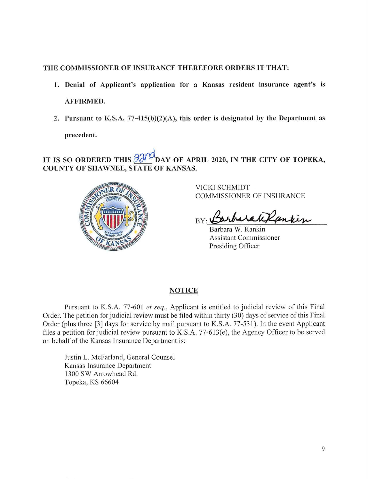## THE COMMISSIONER OF INSURANCE THEREFORE ORDERS IT THAT:

- 1. Denial of Applicant's application for a Kansas resident insurance agent's is AFFIRMED.
- 2. Pursuant to K.S.A. 77-415(b)(2)(A), this order is designated by the Department as **precedent.**

IT IS SO ORDERED THIS  $\frac{\partial \mathcal{U}}{\partial \mathbf{A}}$  DAY OF APRIL 2020, IN THE CITY OF TOPEKA, **COUNTY OF SHAWNEE, STATE OF KANSAS.** 



VICKI SCHMIDT COMMISSIONER OF INSURANCE

 $BY:$ 

Barbara W. Rankin Assistant Commissioner Presiding Officer

## **NOTICE**

Pursuant to K.S.A. 77-601 *et seq.,* Applicant is entitled to judicial review of this Final Order. The petition for judicial review must be filed within thirty (30) days of service of this Final Order (plus three [3] days for service by mail pursuant to K.S.A. 77-531 ). In the event Applicant files a petition for judicial review pursuant to K.S.A. 77-613(e), the Agency Officer to be served on behalf of the Kansas Insurance Department is:

Justin L. McFarland, General Counsel Kansas Insurance Department 1300 SW Arrowhead Rd. Topeka, KS 66604